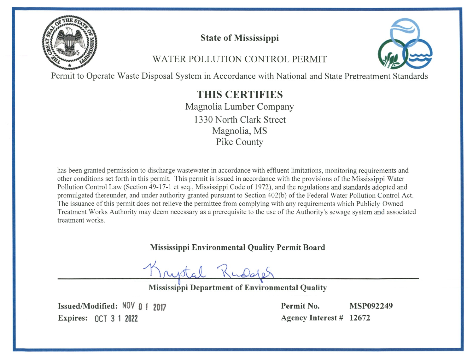

# **State of Mississippi**

# **WATER POLLUTION CONTROL PERMIT**



Permit to Operate Waste Disposal System in Accordance with National and State Pretreatment Standards

THIS CERTIFIES Magnolia Lumber Company 1330 North Clark Street Magnolia, MS Pike County

has been granted permission to discharge wastewater in accordance with effluent limitations, monitoring requirements and other conditions set forth in this permit. This permit is issued in accordance with the provisions of the Mississippi Water Pollution Control Law (Section 49-17-1 et seg., Mississippi Code of 1972), and the regulations and standards adopted and promulgated thereunder, and under authority granted pursuant to Section 402(b) of the Federal Water Pollution Control Act. The issuance of this permit does not relieve the permittee from complying with any requirements which Publicly Owned Treatment Works Authority may deem necessary as a prerequisite to the use of the Authority's sewage system and associated treatment works.

**Mississippi Environmental Quality Permit Board** 

**Mississippi Department of Environmental Quality** 

Issued/Modified: NOV 0 1 2017 Expires: 0CT 3 1 2022

Permit No. **MSP092249** Agency Interest # 12672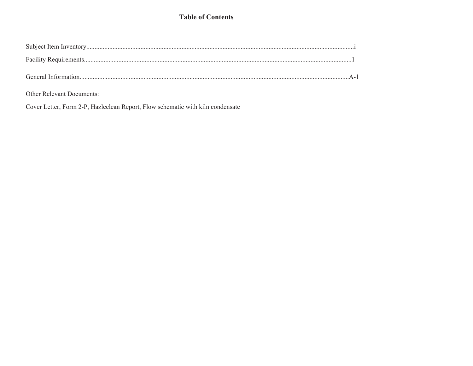## **Table of Contents**

Other Relevant Documents:

Cover Letter, Form 2-P, Hazleclean Report, Flow schematic with kiln condensate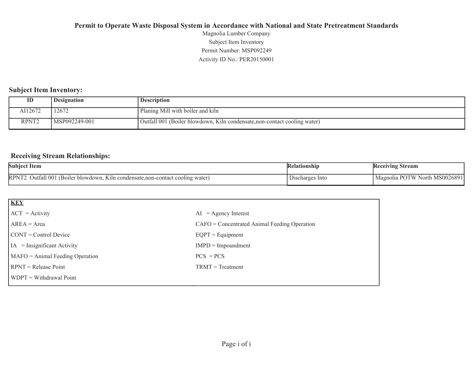Activity ID No.: PER20150001 Permit Number: MSP092249Subject Item Inventory Magnolia Lumber Company

### **Subject Item Inventory:**

| ID                | <b>Designation</b> | <b>Description</b>                                                        |
|-------------------|--------------------|---------------------------------------------------------------------------|
| AI12672           | 12672              | Planing Mill with boiler and kiln                                         |
| RPNT <sub>2</sub> | MSP092249-001      | Outfall 001 (Boiler blowdown, Kiln condensate, non-contact cooling water) |

### **Receiving Stream Relationships:**

| <b>Subject Item</b>                                                                                                | elationshin        | Stream<br>Keceiving                                      |
|--------------------------------------------------------------------------------------------------------------------|--------------------|----------------------------------------------------------|
| <b>RPNT</b><br>Jutfall 001<br>* blowdown.<br>i condensate non-contact<br>$\cup$ cooling $W^*$<br>water<br>. K1ln 1 | -Into<br>.scharges | . MS00268°<br>PO <sup>'</sup><br>ĽW<br>North<br>Magnolia |

| <b>KEY</b>                            |                                                |
|---------------------------------------|------------------------------------------------|
| $ ACT = Activity$                     | $AI = Agency Interest$                         |
| $AREA = Area$                         | $CAFO =$ Concentrated Animal Feeding Operation |
| $\text{CONT} = \text{Control Device}$ | $EQPT = Equipment$                             |
| $IA = Insignificant Activity$         | $IMPD = Impoundment$                           |
| MAFO = Animal Feeding Operation       | $PCS = PCs$                                    |
| $RPNT = Release Point$                | $TRMT = Treatment$                             |
| WDPT = Withdrawal Point               |                                                |
|                                       |                                                |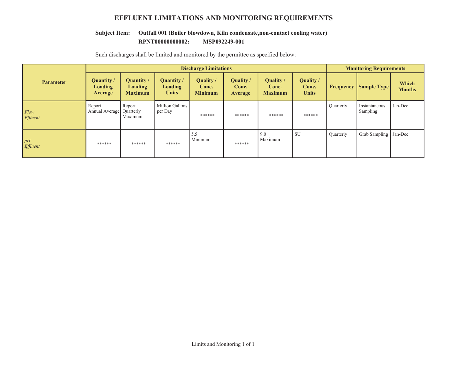## **EFFLUENT LIMITATIONS AND MONITORING REQUIREMENTS**

#### **RPNT00000000002:** MSP092249-001 **Subject Item: Outfall 001 (Boiler blowdown, Kiln condensate,non-contact cooling water)**

|                  | <b>Discharge Limitations</b>                   |                                         |                                              |                                      |                               |                                      | <b>Monitoring Requirements</b>            |                  |                           |                        |
|------------------|------------------------------------------------|-----------------------------------------|----------------------------------------------|--------------------------------------|-------------------------------|--------------------------------------|-------------------------------------------|------------------|---------------------------|------------------------|
| <b>Parameter</b> | <b>Quantity</b> /<br><b>Loading</b><br>Average | Quantity /<br>Loading<br><b>Maximum</b> | Quantity /<br><b>Loading</b><br><b>Units</b> | Quality /<br>Conc.<br><b>Minimum</b> | Quality /<br>Conc.<br>Average | Quality /<br>Conc.<br><b>Maximum</b> | <b>Quality</b> /<br>Conc.<br><b>Units</b> | Frequency        | <b>Sample Type</b>        | Which<br><b>Months</b> |
| Flow<br>Effluent | Report<br>Annual Average Quarterly             | Report<br>Maximum                       | Million Gallons<br>per Day                   | ******                               | ******                        | ******                               | ******                                    | Quarterly        | Instantaneous<br>Sampling | Jan-Dec                |
| pH<br>Effluent   | ******                                         | ******                                  | ******                                       | 5.5<br>Minimum                       | ******                        | 9.0<br>Maximum                       | <b>SU</b>                                 | <b>Quarterly</b> | <b>Grab Sampling</b>      | Jan-Dec                |

Such discharges shall be limited and monitored by the permittee as specified below: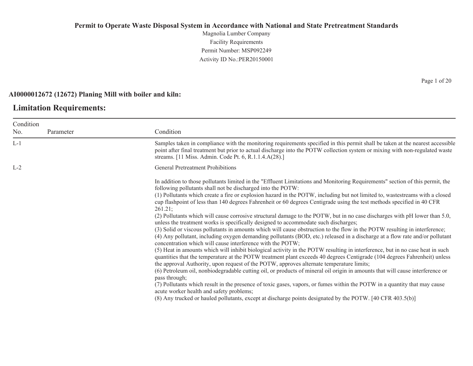Magnolia Lumber Company Facility Requirements Permit Number: MSP092249 Activity ID No.:PER20150001

### **AI0000012672 (12672) Planing Mill with boiler and kiln:**

## **Limitation Requirements:**

| Condition<br>Samples taken in compliance with the monitoring requirements specified in this permit shall be taken at the nearest accessible<br>point after final treatment but prior to actual discharge into the POTW collection system or mixing with non-regulated waste                                                                                                                                                                                                                                                                                                                                                                                                                                                                                                                                                                                                                                                                                                                                                                                                                                                                                                                                                                                                                                                                                                                                                                                                                                                                                                                                                                                                                                                                                                                                           |
|-----------------------------------------------------------------------------------------------------------------------------------------------------------------------------------------------------------------------------------------------------------------------------------------------------------------------------------------------------------------------------------------------------------------------------------------------------------------------------------------------------------------------------------------------------------------------------------------------------------------------------------------------------------------------------------------------------------------------------------------------------------------------------------------------------------------------------------------------------------------------------------------------------------------------------------------------------------------------------------------------------------------------------------------------------------------------------------------------------------------------------------------------------------------------------------------------------------------------------------------------------------------------------------------------------------------------------------------------------------------------------------------------------------------------------------------------------------------------------------------------------------------------------------------------------------------------------------------------------------------------------------------------------------------------------------------------------------------------------------------------------------------------------------------------------------------------|
|                                                                                                                                                                                                                                                                                                                                                                                                                                                                                                                                                                                                                                                                                                                                                                                                                                                                                                                                                                                                                                                                                                                                                                                                                                                                                                                                                                                                                                                                                                                                                                                                                                                                                                                                                                                                                       |
| streams. [11 Miss. Admin. Code Pt. 6, R.1.1.4.A(28).]                                                                                                                                                                                                                                                                                                                                                                                                                                                                                                                                                                                                                                                                                                                                                                                                                                                                                                                                                                                                                                                                                                                                                                                                                                                                                                                                                                                                                                                                                                                                                                                                                                                                                                                                                                 |
| <b>General Pretreatment Prohibitions</b>                                                                                                                                                                                                                                                                                                                                                                                                                                                                                                                                                                                                                                                                                                                                                                                                                                                                                                                                                                                                                                                                                                                                                                                                                                                                                                                                                                                                                                                                                                                                                                                                                                                                                                                                                                              |
| In addition to those pollutants limited in the "Effluent Limitations and Monitoring Requirements" section of this permit, the<br>following pollutants shall not be discharged into the POTW:<br>(1) Pollutants which create a fire or explosion hazard in the POTW, including but not limited to, wastestreams with a closed<br>cup flashpoint of less than 140 degrees Fahrenheit or 60 degrees Centigrade using the test methods specified in 40 CFR<br>261.21;<br>(2) Pollutants which will cause corrosive structural damage to the POTW, but in no case discharges with pH lower than 5.0,<br>unless the treatment works is specifically designed to accommodate such discharges;<br>(3) Solid or viscous pollutants in amounts which will cause obstruction to the flow in the POTW resulting in interference;<br>(4) Any pollutant, including oxygen demanding pollutants (BOD, etc.) released in a discharge at a flow rate and/or pollutant<br>concentration which will cause interference with the POTW;<br>(5) Heat in amounts which will inhibit biological activity in the POTW resulting in interference, but in no case heat in such<br>quantities that the temperature at the POTW treatment plant exceeds 40 degrees Centigrade (104 degrees Fahrenheit) unless<br>the approval Authority, upon request of the POTW, approves alternate temperature limits;<br>(6) Petroleum oil, nonbiodegradable cutting oil, or products of mineral oil origin in amounts that will cause interference or<br>pass through;<br>(7) Pollutants which result in the presence of toxic gases, vapors, or fumes within the POTW in a quantity that may cause<br>acute worker health and safety problems;<br>(8) Any trucked or hauled pollutants, except at discharge points designated by the POTW. [40 CFR 403.5(b)] |
|                                                                                                                                                                                                                                                                                                                                                                                                                                                                                                                                                                                                                                                                                                                                                                                                                                                                                                                                                                                                                                                                                                                                                                                                                                                                                                                                                                                                                                                                                                                                                                                                                                                                                                                                                                                                                       |

Page 1 of 20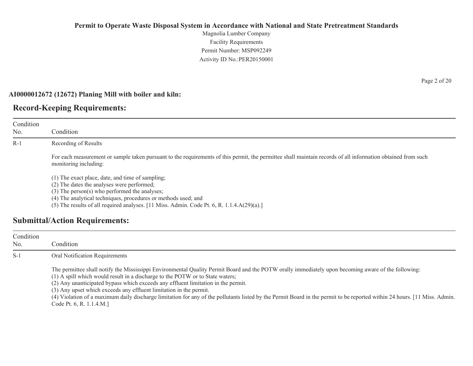Magnolia Lumber Company Facility Requirements Permit Number: MSP092249Activity ID No.:PER20150001

#### **AI0000012672 (12672) Planing Mill with boiler and kiln:**

## **Record-Keeping Requirements:**

| Condition<br>No. | Condition                                                                                                                                                                                                                                                                                                          |
|------------------|--------------------------------------------------------------------------------------------------------------------------------------------------------------------------------------------------------------------------------------------------------------------------------------------------------------------|
| $R-1$            | Recording of Results                                                                                                                                                                                                                                                                                               |
|                  | For each measurement or sample taken pursuant to the requirements of this permit, the permittee shall maintain records of all information obtained from such<br>monitoring including:                                                                                                                              |
|                  | (1) The exact place, date, and time of sampling;<br>(2) The dates the analyses were performed;<br>(3) The person(s) who performed the analyses;<br>(4) The analytical techniques, procedures or methods used; and<br>(5) The results of all required analyses. [11 Miss. Admin. Code Pt. 6, R. $1.1.4.A(29)(a).$ ] |
|                  | <b>Submittal/Action Requirements:</b>                                                                                                                                                                                                                                                                              |

| Condition<br>No. | Condition                                                                                                                                                                                                                                                                                                                                                                                                                                                                                                                                                                                                 |
|------------------|-----------------------------------------------------------------------------------------------------------------------------------------------------------------------------------------------------------------------------------------------------------------------------------------------------------------------------------------------------------------------------------------------------------------------------------------------------------------------------------------------------------------------------------------------------------------------------------------------------------|
| $S-1$            | Oral Notification Requirements                                                                                                                                                                                                                                                                                                                                                                                                                                                                                                                                                                            |
|                  | The permittee shall notify the Mississippi Environmental Quality Permit Board and the POTW orally immediately upon becoming aware of the following:<br>(1) A spill which would result in a discharge to the POTW or to State waters;<br>(2) Any unanticipated bypass which exceeds any effluent limitation in the permit.<br>(3) Any upset which exceeds any effluent limitation in the permit.<br>(4) Violation of a maximum daily discharge limitation for any of the pollutants listed by the Permit Board in the permit to be reported within 24 hours. [11 Miss. Admin.]<br>Code Pt. 6, R. 1.1.4.M.] |

Page 2 of 20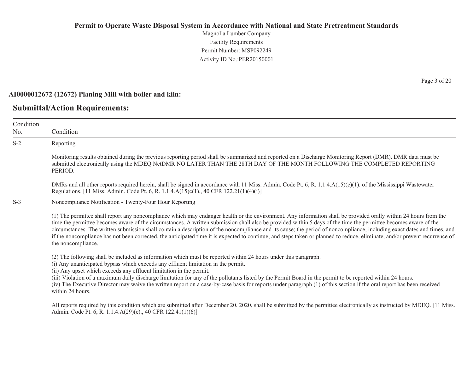Magnolia Lumber Company Facility Requirements Permit Number: MSP092249Activity ID No.:PER20150001

#### **AI0000012672 (12672) Planing Mill with boiler and kiln:**

## **Submittal/Action Requirements:**

No.

S-2

S-3

Condition Condition Reporting Monitoring results obtained during the previous reporting period shall be summarized and reported on a Discharge Monitoring Report (DMR). DMR data must be submitted electronically using the MDEQ NetDMR NO LATER THAN THE 28TH DAY OF THE MONTH FOLLOWING THE COMPLETED REPORTING PERIOD. DMRs and all other reports required herein, shall be signed in accordance with 11 Miss. Admin. Code Pt. 6, R. 1.1.4.A(15)(c)(1). of the Mississippi Wastewater Regulations. [11 Miss. Admin. Code Pt. 6, R. 1.1.4.A(15)c(1)., 40 CFR 122.21(1)(4)(i)] Noncompliance Notification - Twenty-Four Hour Reporting (1) The permittee shall report any noncompliance which may endanger health or the environment. Any information shall be provided orally within 24 hours from the time the permittee becomes aware of the circumstances. A written submission shall also be provided within 5 days of the time the permittee becomes aware of the circumstances. The written submission shall contain a description of the noncompliance and its cause; the period of noncompliance, including exact dates and times, and if the noncompliance has not been corrected, the anticipated time it is expected to continue; and steps taken or planned to reduce, eliminate, and/or prevent recurrence of the noncompliance. (2) The following shall be included as information which must be reported within 24 hours under this paragraph. (i) Any unanticipated bypass which exceeds any effluent limitation in the permit. (ii) Any upset which exceeds any effluent limitation in the permit. (iii) Violation of a maximum daily discharge limitation for any of the pollutants listed by the Permit Board in the permit to be reported within 24 hours. (iv) The Executive Director may waive the written report on a case-by-case basis for reports under paragraph (1) of this section if the oral report has been received within 24 hours. All reports required by this condition which are submitted after December 20, 2020, shall be submitted by the permittee electronically as instructed by MDEQ. [11 Miss.] Admin. Code Pt. 6, R. 1.1.4.A(29)(e)., 40 CFR 122.41(1)(6)]

Page 3 of 20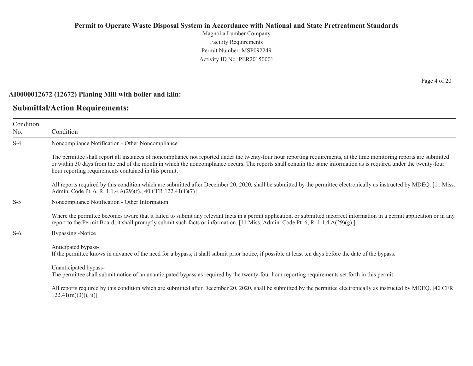Magnolia Lumber Company Facility Requirements Permit Number: MSP092249Activity ID No.:PER20150001

#### **AI0000012672 (12672) Planing Mill with boiler and kiln:**

### **Submittal/Action Requirements:**

Condition No. ConditionS-4 Noncompliance Notification - Other Noncompliance The permittee shall report all instances of noncompliance not reported under the twenty-four hour reporting requirements, at the time monitoring reports are submitted or within 30 days from the end of the month in which the noncompliance occurs. The reports shall contain the same information as is required under the twenty-four hour reporting requirements contained in this permit. All reports required by this condition which are submitted after December 20, 2020, shall be submitted by the permittee electronically as instructed by MDEQ. [11 Miss.] Admin. Code Pt. 6, R. 1.1.4.A(29)(f)., 40 CFR 122.41(1)(7)] S-5 Noncompliance Notification - Other Information Where the permittee becomes aware that it failed to submit any relevant facts in a permit application, or submitted incorrect information in a permit application or in any report to the Permit Board, it shall promptly submit such facts or information. [11 Miss. Admin. Code Pt. 6, R. 1.1.4.A(29)(g).] S-6 Bypassing -Notice Anticipated bypass-If the permittee knows in advance of the need for a bypass, it shall submit prior notice, if possible at least ten days before the date of the bypass. Unanticipated bypass-The permittee shall submit notice of an unanticipated bypass as required by the twenty-four hour reporting requirements set forth in this permit. All reports required by this condition which are submitted after December 20, 2020, shall be submitted by the permittee electronically as instructed by MDEQ. [40 CFR  $122.41(m)(3)(i, ii)$ ]

Page 4 of 20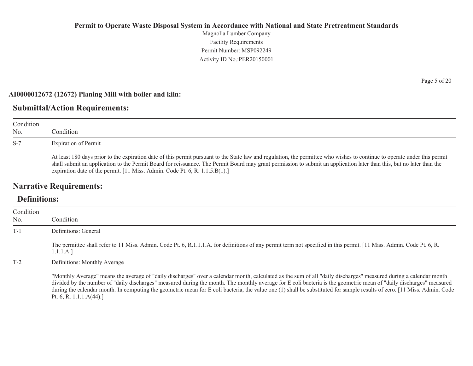Magnolia Lumber Company Facility Requirements Permit Number: MSP092249 Activity ID No.:PER20150001

#### **AI0000012672 (12672) Planing Mill with boiler and kiln:**

## **Submittal/Action Requirements:**

| Condition<br>N <sub>0</sub> | Condition                                                                                                                                                                                                                                                                                                                                                                                                                                                        |
|-----------------------------|------------------------------------------------------------------------------------------------------------------------------------------------------------------------------------------------------------------------------------------------------------------------------------------------------------------------------------------------------------------------------------------------------------------------------------------------------------------|
| $S-7$                       | <b>Expiration of Permit</b><br>At least 180 days prior to the expiration date of this permit pursuant to the State law and regulation, the permittee who wishes to continue to operate under this permit<br>shall submit an application to the Permit Board for reissuance. The Permit Board may grant permission to submit an application later than this, but no later than the<br>expiration date of the permit. [11 Miss. Admin. Code Pt. 6, R. 1.1.5.B(1).] |

## **Narrative Requirements:**

## **Definitions:**

| Condition<br>No. | Condition                                                                                                                                                                                                                                                                                                                                                                                                                                                                                                                                           |
|------------------|-----------------------------------------------------------------------------------------------------------------------------------------------------------------------------------------------------------------------------------------------------------------------------------------------------------------------------------------------------------------------------------------------------------------------------------------------------------------------------------------------------------------------------------------------------|
| $T-1$            | Definitions: General                                                                                                                                                                                                                                                                                                                                                                                                                                                                                                                                |
|                  | The permittee shall refer to 11 Miss. Admin. Code Pt. 6, R.1.1.1.A. for definitions of any permit term not specified in this permit. [11 Miss. Admin. Code Pt. 6, R.<br>1.1.1.A.]                                                                                                                                                                                                                                                                                                                                                                   |
| $T-2$            | Definitions: Monthly Average                                                                                                                                                                                                                                                                                                                                                                                                                                                                                                                        |
|                  | "Monthly Average" means the average of "daily discharges" over a calendar month, calculated as the sum of all "daily discharges" measured during a calendar month<br>divided by the number of "daily discharges" measured during the month. The monthly average for E coli bacteria is the geometric mean of "daily discharges" measured<br>during the calendar month. In computing the geometric mean for E coli bacteria, the value one (1) shall be substituted for sample results of zero. [11 Miss. Admin. Code<br>Pt. 6, R. 1.1.1. $A(44)$ .] |

Page 5 of 20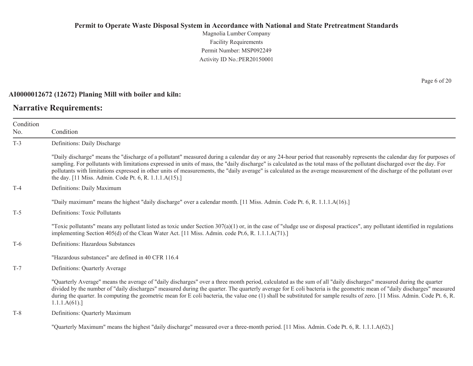Magnolia Lumber Company Facility Requirements Permit Number: MSP092249 Activity ID No.:PER20150001

#### **AI0000012672 (12672) Planing Mill with boiler and kiln:**

## **Narrative Requirements:**

Page 6 of 20

| Condition<br>No. | Condition                                                                                                                                                                                                                                                                                                                                                                                                                                                                                                                                                                                   |
|------------------|---------------------------------------------------------------------------------------------------------------------------------------------------------------------------------------------------------------------------------------------------------------------------------------------------------------------------------------------------------------------------------------------------------------------------------------------------------------------------------------------------------------------------------------------------------------------------------------------|
| $T-3$            | Definitions: Daily Discharge                                                                                                                                                                                                                                                                                                                                                                                                                                                                                                                                                                |
|                  | "Daily discharge" means the "discharge of a pollutant" measured during a calendar day or any 24-hour period that reasonably represents the calendar day for purposes of<br>sampling. For pollutants with limitations expressed in units of mass, the "daily discharge" is calculated as the total mass of the pollutant discharged over the day. For<br>pollutants with limitations expressed in other units of measurements, the "daily average" is calculated as the average measurement of the discharge of the pollutant over<br>the day. [11 Miss. Admin. Code Pt. 6, R. 1.1.1.A(15).] |
| $T-4$            | Definitions: Daily Maximum                                                                                                                                                                                                                                                                                                                                                                                                                                                                                                                                                                  |
|                  | "Daily maximum" means the highest "daily discharge" over a calendar month. [11 Miss. Admin. Code Pt. 6, R. 1.1.1.A(16).]                                                                                                                                                                                                                                                                                                                                                                                                                                                                    |
| $T-5$            | Definitions: Toxic Pollutants                                                                                                                                                                                                                                                                                                                                                                                                                                                                                                                                                               |
|                  | "Toxic pollutants" means any pollutant listed as toxic under Section $307(a)(1)$ or, in the case of "sludge use or disposal practices", any pollutant identified in regulations<br>implementing Section 405(d) of the Clean Water Act. [11 Miss. Admin. code Pt.6, R. 1.1.1.A(71).]                                                                                                                                                                                                                                                                                                         |
| $T-6$            | Definitions: Hazardous Substances                                                                                                                                                                                                                                                                                                                                                                                                                                                                                                                                                           |
|                  | "Hazardous substances" are defined in 40 CFR 116.4                                                                                                                                                                                                                                                                                                                                                                                                                                                                                                                                          |
| $T-7$            | Definitions: Quarterly Average                                                                                                                                                                                                                                                                                                                                                                                                                                                                                                                                                              |
|                  | "Quarterly Average" means the average of "daily discharges" over a three month period, calculated as the sum of all "daily discharges" measured during the quarter<br>divided by the number of "daily discharges" measured during the quarter. The quarterly average for E coli bacteria is the geometric mean of "daily discharges" measured<br>during the quarter. In computing the geometric mean for E coli bacteria, the value one (1) shall be substituted for sample results of zero. [11 Miss. Admin. Code Pt. 6, R.<br>1.1.1.A(61).                                                |
| $T-8$            | Definitions: Quarterly Maximum                                                                                                                                                                                                                                                                                                                                                                                                                                                                                                                                                              |
|                  | "Quarterly Maximum" means the highest "daily discharge" measured over a three-month period. [11 Miss. Admin. Code Pt. 6, R. 1.1.1.A(62).]                                                                                                                                                                                                                                                                                                                                                                                                                                                   |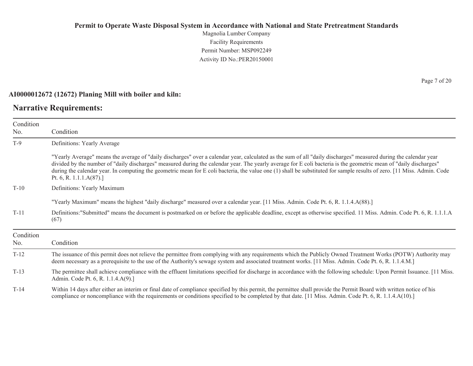Magnolia Lumber Company Facility Requirements Permit Number: MSP092249Activity ID No.:PER20150001

#### **AI0000012672 (12672) Planing Mill with boiler and kiln:**

## **Narrative Requirements:**

Condition No. ConditionT-9 Definitions: Yearly Average "Yearly Average" means the average of "daily discharges" over a calendar year, calculated as the sum of all "daily discharges" measured during the calendar year divided by the number of "daily discharges" measured during the calendar year. The yearly average for E coli bacteria is the geometric mean of "daily discharges" during the calendar year. In computing the geometric mean for E coli bacteria, the value one (1) shall be substituted for sample results of zero. [11 Miss. Admin. Code Pt. 6, R. 1.1.1.A(87).] T-10 Definitions: Yearly Maximum "Yearly Maximum" means the highest "daily discharge" measured over a calendar year. [11 Miss. Admin. Code Pt. 6, R. 1.1.4.A(88).] T-11 Definitions:"Submitted" means the document is postmarked on or before the applicable deadline, except as otherwise specified. 11 Miss. Admin. Code Pt. 6, R. 1.1.1.A (67) Condition No.**Condition** T-12 The issuance of this permit does not relieve the permittee from complying with any requirements which the Publicly Owned Treatment Works (POTW) Authority may deem necessary as a prerequisite to the use of the Authority's sewage system and associated treatment works. [11 Miss. Admin. Code Pt. 6, R. 1.1.4.M.] T-13 The permittee shall achieve compliance with the effluent limitations specified for discharge in accordance with the following schedule: Upon Permit Issuance. [11 Miss. Admin. Code Pt. 6, R. 1.1.4.A(9).]

T-14Within 14 days after either an interim or final date of compliance specified by this permit, the permittee shall provide the Permit Board with written notice of his compliance or noncompliance with the requirements or conditions specified to be completed by that date. [11 Miss. Admin. Code Pt. 6, R. 1.1.4.A(10).]

Page 7 of 20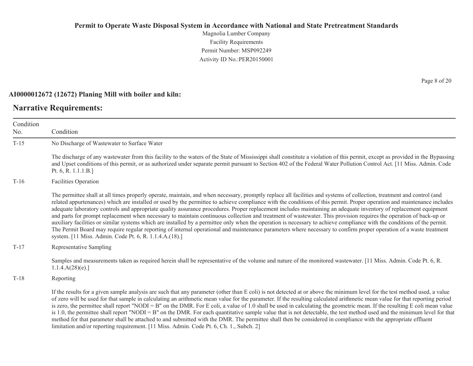Magnolia Lumber Company Facility Requirements Permit Number: MSP092249Activity ID No.:PER20150001

#### **AI0000012672 (12672) Planing Mill with boiler and kiln:**

## **Narrative Requirements:**

Condition No. ConditionT-15 No Discharge of Wastewater to Surface Water The discharge of any wastewater from this facility to the waters of the State of Mississippi shall constitute a violation of this permit, except as provided in the Bypassing and Upset conditions of this permit, or as authorized under separate permit pursuant to Section 402 of the Federal Water Pollution Control Act. [11 Miss. Admin. Code Pt. 6, R. 1.1.1.B.] T-16 Facilities Operation The permittee shall at all times properly operate, maintain, and when necessary, promptly replace all facilities and systems of collection, treatment and control (and related appurtenances) which are installed or used by the permittee to achieve compliance with the conditions of this permit. Proper operation and maintenance includes adequate laboratory controls and appropriate quality assurance procedures. Proper replacement includes maintaining an adequate inventory of replacement equipment and parts for prompt replacement when necessary to maintain continuous collection and treatment of wastewater. This provision requires the operation of back-up or auxiliary facilities or similar systems which are installed by a permittee only when the operation is necessary to achieve compliance with the conditions of the permit. The Permit Board may require regular reporting of internal operational and maintenance parameters where necessary to confirm proper operation of a waste treatment system. [11 Miss. Admin. Code Pt. 6, R. 1.1.4.A.(18).] T-17 Representative Sampling Samples and measurements taken as required herein shall be representative of the volume and nature of the monitored wastewater. [11 Miss. Admin. Code Pt. 6, R. 1.1.4.A(28)(e).] T-18 Reporting If the results for a given sample analysis are such that any parameter (other than E coli) is not detected at or above the minimum level for the test method used, a value of zero will be used for that sample in calculating an arithmetic mean value for the parameter. If the resulting calculated arithmetic mean value for that reporting period is zero, the permittee shall report "NODI = B" on the DMR. For E coli, a value of 1.0 shall be used in calculating the geometric mean. If the resulting E coli mean value is 1.0, the permittee shall report "NODI = B" on the DMR. For each quantitative sample value that is not detectable, the test method used and the minimum level for that method for that parameter shall be attached to and submitted with the DMR. The permittee shall then be considered in compliance with the appropriate effluent

limitation and/or reporting requirement. [11 Miss. Admin. Code Pt. 6, Ch. 1., Subch. 2]

Page 8 of 20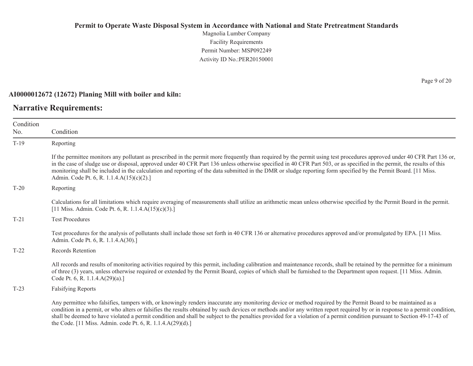Magnolia Lumber Company Facility Requirements Permit Number: MSP092249Activity ID No.:PER20150001

#### **AI0000012672 (12672) Planing Mill with boiler and kiln:**

## **Narrative Requirements:**

Condition No. ConditionT-19 Reporting If the permittee monitors any pollutant as prescribed in the permit more frequently than required by the permit using test procedures approved under 40 CFR Part 136 or, in the case of sludge use or disposal, approved under 40 CFR Part 136 unless otherwise specified in 40 CFR Part 503, or as specified in the permit, the results of this monitoring shall be included in the calculation and reporting of the data submitted in the DMR or sludge reporting form specified by the Permit Board. [11 Miss. Admin. Code Pt. 6, R. 1.1.4.A(15)(c)(2).] T-20 Reporting Calculations for all limitations which require averaging of measurements shall utilize an arithmetic mean unless otherwise specified by the Permit Board in the permit. [11 Miss. Admin. Code Pt. 6, R. 1.1.4.A(15)(c)(3).] T-21 Test Procedures Test procedures for the analysis of pollutants shall include those set forth in 40 CFR 136 or alternative procedures approved and/or promulgated by EPA. [11 Miss. Admin. Code Pt. 6, R. 1.1.4.A(30).] T-22 Records Retention All records and results of monitoring activities required by this permit, including calibration and maintenance records, shall be retained by the permittee for a minimum of three (3) years, unless otherwise required or extended by the Permit Board, copies of which shall be furnished to the Department upon request. [11 Miss. Admin. Code Pt. 6, R. 1.1.4.A(29)(a).] T-23 Falsifying Reports Any permittee who falsifies, tampers with, or knowingly renders inaccurate any monitoring device or method required by the Permit Board to be maintained as a condition in a permit, or who alters or falsifies the results obtained by such devices or methods and/or any written report required by or in response to a permit condition, shall be deemed to have violated a permit condition and shall be subject to the penalties provided for a violation of a permit condition pursuant to Section 49-17-43 of

the Code. [11 Miss. Admin. code Pt. 6, R. 1.1.4.A(29)(d).]

Page 9 of 20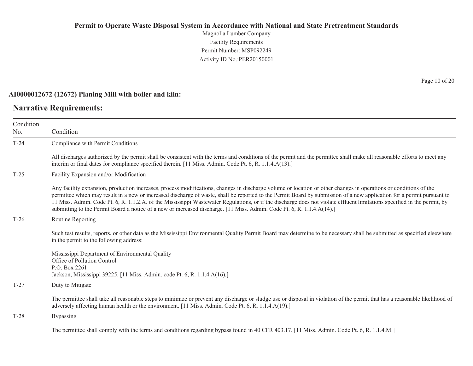Magnolia Lumber Company Facility Requirements Permit Number: MSP092249Activity ID No.:PER20150001

#### **AI0000012672 (12672) Planing Mill with boiler and kiln:**

## **Narrative Requirements:**

Condition No. ConditionT-24 Compliance with Permit Conditions All discharges authorized by the permit shall be consistent with the terms and conditions of the permit and the permittee shall make all reasonable efforts to meet any interim or final dates for compliance specified therein. [11 Miss. Admin. Code Pt. 6, R. 1.1.4.A(13).] T-25 Facility Expansion and/or Modification Any facility expansion, production increases, process modifications, changes in discharge volume or location or other changes in operations or conditions of the permittee which may result in a new or increased discharge of waste, shall be reported to the Permit Board by submission of a new application for a permit pursuant to 11 Miss. Admin. Code Pt. 6, R. 1.1.2.A. of the Mississippi Wastewater Regulations, or if the discharge does not violate effluent limitations specified in the permit, by submitting to the Permit Board a notice of a new or increased discharge. [11 Miss. Admin. Code Pt. 6, R. 1.1.4.A(14).] T-26 Routine Reporting Such test results, reports, or other data as the Mississippi Environmental Quality Permit Board may determine to be necessary shall be submitted as specified elsewhere in the permit to the following address: Mississippi Department of Environmental Quality Office of Pollution Control P.O. Box 2261 Jackson, Mississippi 39225. [11 Miss. Admin. code Pt. 6, R. 1.1.4.A(16).] T-27 Duty to Mitigate The permittee shall take all reasonable steps to minimize or prevent any discharge or sludge use or disposal in violation of the permit that has a reasonable likelihood of adversely affecting human health or the environment. [11 Miss. Admin. Code Pt. 6, R. 1.1.4.A(19).] T-28 Bypassing The permittee shall comply with the terms and conditions regarding bypass found in 40 CFR 403.17. [11 Miss. Admin. Code Pt. 6, R. 1.1.4.M.]

Page 10 of 20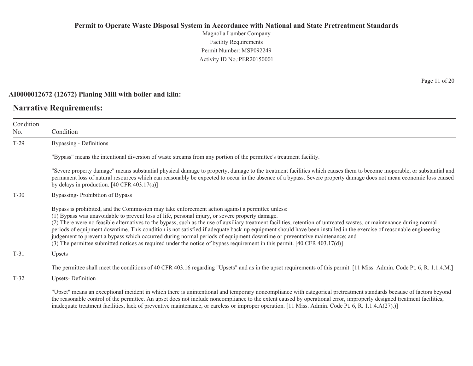Magnolia Lumber Company Facility Requirements Permit Number: MSP092249Activity ID No.:PER20150001

#### **AI0000012672 (12672) Planing Mill with boiler and kiln:**

## **Narrative Requirements:**

Condition No. ConditionT-29 Bypassing - Definitions "Bypass" means the intentional diversion of waste streams from any portion of the permittee's treatment facility. "Severe property damage" means substantial physical damage to property, damage to the treatment facilities which causes them to become inoperable, or substantial and permanent loss of natural resources which can reasonably be expected to occur in the absence of a bypass. Severe property damage does not mean economic loss caused by delays in production. [40 CFR 403.17(a)] T-30 Bypassing- Prohibition of Bypass Bypass is prohibited, and the Commission may take enforcement action against a permittee unless: (1) Bypass was unavoidable to prevent loss of life, personal injury, or severe property damage. (2) There were no feasible alternatives to the bypass, such as the use of auxiliary treatment facilities, retention of untreated wastes, or maintenance during normal periods of equipment downtime. This condition is not satisfied if adequate back-up equipment should have been installed in the exercise of reasonable engineering judgement to prevent a bypass which occurred during normal periods of equipment downtime or preventative maintenance; and (3) The permittee submitted notices as required under the notice of bypass requirement in this permit. [40 CFR 403.17(d)] T-31 Upsets The permittee shall meet the conditions of 40 CFR 403.16 regarding "Upsets" and as in the upset requirements of this permit. [11 Miss. Admin. Code Pt. 6, R. 1.1.4.M.]

T-32Upsets- Definition

> "Upset" means an exceptional incident in which there is unintentional and temporary noncompliance with categorical pretreatment standards because of factors beyond the reasonable control of the permittee. An upset does not include noncompliance to the extent caused by operational error, improperly designed treatment facilities, inadequate treatment facilities, lack of preventive maintenance, or careless or improper operation. [11 Miss. Admin. Code Pt. 6, R. 1.1.4.A(27).)]

Page 11 of 20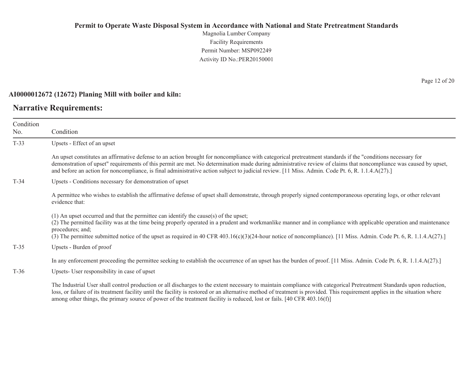Magnolia Lumber Company Facility Requirements Permit Number: MSP092249 Activity ID No.:PER20150001

#### **AI0000012672 (12672) Planing Mill with boiler and kiln:**

## **Narrative Requirements:**

Page 12 of 20

| Condition<br>No. | Condition                                                                                                                                                                                                                                                                                                                                                                                                                                                                            |
|------------------|--------------------------------------------------------------------------------------------------------------------------------------------------------------------------------------------------------------------------------------------------------------------------------------------------------------------------------------------------------------------------------------------------------------------------------------------------------------------------------------|
| $T-33$           | Upsets - Effect of an upset                                                                                                                                                                                                                                                                                                                                                                                                                                                          |
|                  | An upset constitutes an affirmative defense to an action brought for noncompliance with categorical pretreatment standards if the "conditions necessary for<br>demonstration of upset" requirements of this permit are met. No determination made during administrative review of claims that noncompliance was caused by upset,<br>and before an action for noncompliance, is final administrative action subject to judicial review. [11 Miss. Admin. Code Pt. 6, R. 1.1.4.A(27).] |
| $T-34$           | Upsets - Conditions necessary for demonstration of upset                                                                                                                                                                                                                                                                                                                                                                                                                             |
|                  | A permittee who wishes to establish the affirmative defense of upset shall demonstrate, through properly signed contemporaneous operating logs, or other relevant<br>evidence that:                                                                                                                                                                                                                                                                                                  |
|                  | (1) An upset occurred and that the permittee can identify the cause(s) of the upset;<br>(2) The permitted facility was at the time being properly operated in a prudent and workmanlike manner and in compliance with applicable operation and maintenance<br>procedures; and;<br>(3) The permittee submitted notice of the upset as required in 40 CFR 403.16(c)(3)(24-hour notice of noncompliance). [11 Miss. Admin. Code Pt. 6, R. 1.1.4.A(27).]                                 |
| $T-35$           | Upsets - Burden of proof                                                                                                                                                                                                                                                                                                                                                                                                                                                             |
|                  | In any enforcement proceeding the permittee seeking to establish the occurrence of an upset has the burden of proof. [11 Miss. Admin. Code Pt. 6, R. 1.1.4.A(27).]                                                                                                                                                                                                                                                                                                                   |
| $T-36$           | Upsets- User responsibility in case of upset                                                                                                                                                                                                                                                                                                                                                                                                                                         |
|                  | The Industrial User shall control production or all discharges to the extent necessary to maintain compliance with categorical Pretreatment Standards upon reduction,<br>loss, or failure of its treatment facility until the facility is restored or an alternative method of treatment is provided. This requirement applies in the situation where<br>among other things, the primary source of power of the treatment facility is reduced, lost or fails. [40 CFR 403.16(f)]     |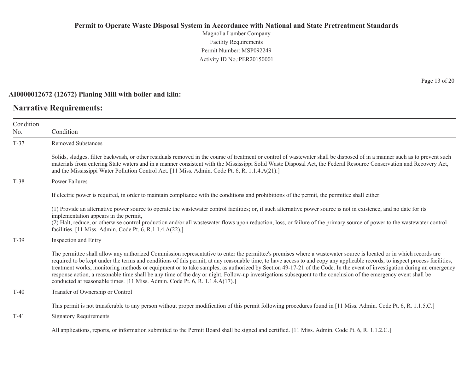Magnolia Lumber Company Facility Requirements Permit Number: MSP092249 Activity ID No.:PER20150001

#### **AI0000012672 (12672) Planing Mill with boiler and kiln:**

## **Narrative Requirements:**

Page 13 of 20

| Condition<br>No. | Condition                                                                                                                                                                                                                                                                                                                                                                                                                                                                                                                                                                                                                                                                                                                                                                     |
|------------------|-------------------------------------------------------------------------------------------------------------------------------------------------------------------------------------------------------------------------------------------------------------------------------------------------------------------------------------------------------------------------------------------------------------------------------------------------------------------------------------------------------------------------------------------------------------------------------------------------------------------------------------------------------------------------------------------------------------------------------------------------------------------------------|
| $T-37$           | <b>Removed Substances</b>                                                                                                                                                                                                                                                                                                                                                                                                                                                                                                                                                                                                                                                                                                                                                     |
|                  | Solids, sludges, filter backwash, or other residuals removed in the course of treatment or control of wastewater shall be disposed of in a manner such as to prevent such<br>materials from entering State waters and in a manner consistent with the Mississippi Solid Waste Disposal Act, the Federal Resource Conservation and Recovery Act,<br>and the Mississippi Water Pollution Control Act. [11 Miss. Admin. Code Pt. 6, R. 1.1.4.A(21).]                                                                                                                                                                                                                                                                                                                             |
| $T-38$           | <b>Power Failures</b>                                                                                                                                                                                                                                                                                                                                                                                                                                                                                                                                                                                                                                                                                                                                                         |
|                  | If electric power is required, in order to maintain compliance with the conditions and prohibitions of the permit, the permittee shall either:                                                                                                                                                                                                                                                                                                                                                                                                                                                                                                                                                                                                                                |
|                  | (1) Provide an alternative power source to operate the wastewater control facilities; or, if such alternative power source is not in existence, and no date for its<br>implementation appears in the permit,<br>(2) Halt, reduce, or otherwise control production and/or all wastewater flows upon reduction, loss, or failure of the primary source of power to the wastewater control<br>facilities. [11 Miss. Admin. Code Pt. 6, R.1.1.4.A(22).]                                                                                                                                                                                                                                                                                                                           |
| $T-39$           | Inspection and Entry                                                                                                                                                                                                                                                                                                                                                                                                                                                                                                                                                                                                                                                                                                                                                          |
|                  | The permittee shall allow any authorized Commission representative to enter the permittee's premises where a wastewater source is located or in which records are<br>required to be kept under the terms and conditions of this permit, at any reasonable time, to have access to and copy any applicable records, to inspect process facilities,<br>treatment works, monitoring methods or equipment or to take samples, as authorized by Section 49-17-21 of the Code. In the event of investigation during an emergency<br>response action, a reasonable time shall be any time of the day or night. Follow-up investigations subsequent to the conclusion of the emergency event shall be<br>conducted at reasonable times. [11 Miss. Admin. Code Pt. 6, R. 1.1.4.A(17).] |
| $T-40$           | Transfer of Ownership or Control                                                                                                                                                                                                                                                                                                                                                                                                                                                                                                                                                                                                                                                                                                                                              |
|                  | This permit is not transferable to any person without proper modification of this permit following procedures found in [11 Miss. Admin. Code Pt. 6, R. 1.1.5.C.]                                                                                                                                                                                                                                                                                                                                                                                                                                                                                                                                                                                                              |
| $T-41$           | <b>Signatory Requirements</b>                                                                                                                                                                                                                                                                                                                                                                                                                                                                                                                                                                                                                                                                                                                                                 |
|                  | All applications, reports, or information submitted to the Permit Board shall be signed and certified. [11 Miss. Admin. Code Pt. 6, R. 1.1.2.C.]                                                                                                                                                                                                                                                                                                                                                                                                                                                                                                                                                                                                                              |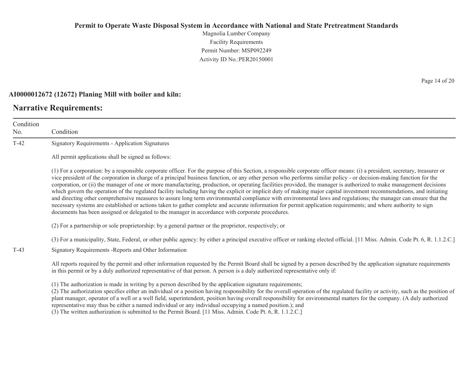Magnolia Lumber Company Facility Requirements Permit Number: MSP092249Activity ID No.:PER20150001

#### **AI0000012672 (12672) Planing Mill with boiler and kiln:**

## **Narrative Requirements:**

Condition No. ConditionT-42 Signatory Requirements - Application Signatures All permit applications shall be signed as follows: (1) For a corporation: by a responsible corporate officer. For the purpose of this Section, a responsible corporate officer means: (i) a president, secretary, treasurer or vice president of the corporation in charge of a principal business function, or any other person who performs similar policy - or decision-making function for the corporation, or (ii) the manager of one or more manufacturing, production, or operating facilities provided, the manager is authorized to make management decisions which govern the operation of the regulated facility including having the explicit or implicit duty of making major capital investment recommendations, and initiating and directing other comprehensive measures to assure long term environmental compliance with environmental laws and regulations; the manager can ensure that the necessary systems are established or actions taken to gather complete and accurate information for permit application requirements; and where authority to sign documents has been assigned or delegated to the manager in accordance with corporate procedures. (2) For a partnership or sole proprietorship: by a general partner or the proprietor, respectively; or (3) For a municipality, State, Federal, or other public agency: by either a principal executive officer or ranking elected official. [11 Miss. Admin. Code Pt. 6, R. 1.1.2.C.] T-43 Signatory Requirements -Reports and Other Information All reports required by the permit and other information requested by the Permit Board shall be signed by a person described by the application signature requirements in this permit or by a duly authorized representative of that person. A person is a duly authorized representative only if: (1) The authorization is made in writing by a person described by the application signature requirements; (2) The authorization specifies either an individual or a position having responsibility for the overall operation of the regulated facility or activity, such as the position of plant manager, operator of a well or a well field, superintendent, position having overall responsibility for environmental matters for the company. (A duly authorized

representative may thus be either a named individual or any individual occupying a named position.); and

(3) The written authorization is submitted to the Permit Board. [11 Miss. Admin. Code Pt. 6, R. 1.1.2.C.]

Page 14 of 20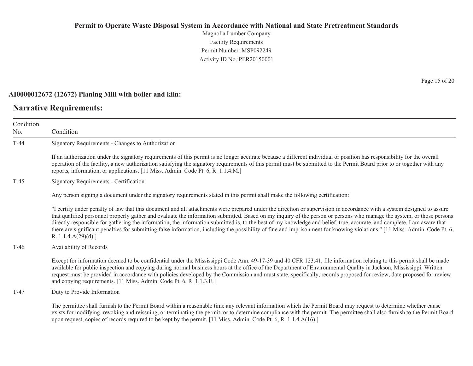Magnolia Lumber Company Facility Requirements Permit Number: MSP092249Activity ID No.:PER20150001

#### **AI0000012672 (12672) Planing Mill with boiler and kiln:**

## **Narrative Requirements:**

Condition No. ConditionT-44 Signatory Requirements - Changes to Authorization If an authorization under the signatory requirements of this permit is no longer accurate because a different individual or position has responsibility for the overall operation of the facility, a new authorization satisfying the signatory requirements of this permit must be submitted to the Permit Board prior to or together with any reports, information, or applications. [11 Miss. Admin. Code Pt. 6, R. 1.1.4.M.] T-45 Signatory Requirements - Certification Any person signing a document under the signatory requirements stated in this permit shall make the following certification: "I certify under penalty of law that this document and all attachments were prepared under the direction or supervision in accordance with a system designed to assure that qualified personnel properly gather and evaluate the information submitted. Based on my inquiry of the person or persons who manage the system, or those persons directly responsible for gathering the information, the information submitted is, to the best of my knowledge and belief, true, accurate, and complete. I am aware that there are significant penalties for submitting false information, including the possibility of fine and imprisonment for knowing violations." [11 Miss. Admin. Code Pt. 6, R. 1.1.4.A(29)(d).] T-46 Availability of Records Except for information deemed to be confidential under the Mississippi Code Ann. 49-17-39 and 40 CFR 123.41, file information relating to this permit shall be made available for public inspection and copying during normal business hours at the office of the Department of Environmental Quality in Jackson, Mississippi. Written request must be provided in accordance with policies developed by the Commission and must state, specifically, records proposed for review, date proposed for review and copying requirements. [11 Miss. Admin. Code Pt. 6, R. 1.1.3.E.] T-47 Duty to Provide Information The permittee shall furnish to the Permit Board within a reasonable time any relevant information which the Permit Board may request to determine whether cause exists for modifying, revoking and reissuing, or terminating the permit, or to determine compliance with the permit. The permittee shall also furnish to the Permit Board upon request, copies of records required to be kept by the permit. [11 Miss. Admin. Code Pt. 6, R. 1.1.4.A(16).]

Page 15 of 20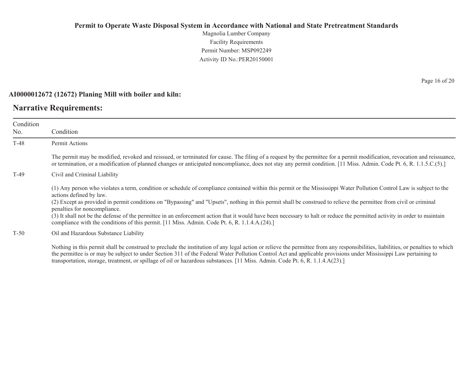Magnolia Lumber Company Facility Requirements Permit Number: MSP092249Activity ID No.:PER20150001

#### **AI0000012672 (12672) Planing Mill with boiler and kiln:**

## **Narrative Requirements:**

| Condition<br>No. | Condition                                                                                                                                                                                                                                                                                                                                                                                                                                                                                                                                                                                                                                                                            |
|------------------|--------------------------------------------------------------------------------------------------------------------------------------------------------------------------------------------------------------------------------------------------------------------------------------------------------------------------------------------------------------------------------------------------------------------------------------------------------------------------------------------------------------------------------------------------------------------------------------------------------------------------------------------------------------------------------------|
| $T-48$           | Permit Actions                                                                                                                                                                                                                                                                                                                                                                                                                                                                                                                                                                                                                                                                       |
|                  | The permit may be modified, revoked and reissued, or terminated for cause. The filing of a request by the permittee for a permit modification, revocation and reissuance,<br>or termination, or a modification of planned changes or anticipated noncompliance, does not stay any permit condition. [11 Miss. Admin. Code Pt. 6, R. 1.1.5.C.(5).]                                                                                                                                                                                                                                                                                                                                    |
| $T-49$           | Civil and Criminal Liability                                                                                                                                                                                                                                                                                                                                                                                                                                                                                                                                                                                                                                                         |
|                  | (1) Any person who violates a term, condition or schedule of compliance contained within this permit or the Mississippi Water Pollution Control Law is subject to the<br>actions defined by law.<br>(2) Except as provided in permit conditions on "Bypassing" and "Upsets", nothing in this permit shall be construed to relieve the permittee from civil or criminal<br>penalties for noncompliance.<br>(3) It shall not be the defense of the permittee in an enforcement action that it would have been necessary to halt or reduce the permitted activity in order to maintain<br>compliance with the conditions of this permit. [11 Miss. Admin. Code Pt. 6, R. 1.1.4.A.(24).] |
| $T-50$           | Oil and Hazardous Substance Liability                                                                                                                                                                                                                                                                                                                                                                                                                                                                                                                                                                                                                                                |
|                  | Nothing in this permit shall be construed to preclude the institution of any legal action or relieve the permittee from any responsibilities, liabilities, or penalties to which<br>the permittee is or may be subject to under Section 311 of the Federal Water Pollution Control Act and applicable provisions under Mississippi Law pertaining to                                                                                                                                                                                                                                                                                                                                 |

transportation, storage, treatment, or spillage of oil or hazardous substances. [11 Miss. Admin. Code Pt. 6, R. 1.1.4.A(23).]

Page 16 of 20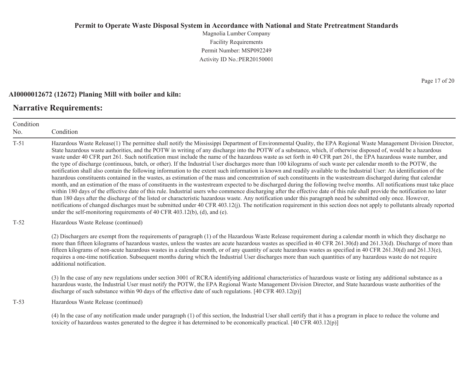Magnolia Lumber Company Facility Requirements Permit Number: MSP092249Activity ID No.:PER20150001

### **AI0000012672 (12672) Planing Mill with boiler and kiln:**

## **Narrative Requirements:**

Condition No. ConditionT-51 Hazardous Waste Release(1) The permittee shall notify the Mississippi Department of Environmental Quality, the EPA Regional Waste Management Division Director, State hazardous waste authorities, and the POTW in writing of any discharge into the POTW of a substance, which, if otherwise disposed of, would be a hazardous waste under 40 CFR part 261. Such notification must include the name of the hazardous waste as set forth in 40 CFR part 261, the EPA hazardous waste number, and the type of discharge (continuous, batch, or other). If the Industrial User discharges more than 100 kilograms of such waste per calendar month to the POTW, the notification shall also contain the following information to the extent such information is known and readily available to the Industrial User: An identification of the hazardous constituents contained in the wastes, as estimation of the mass and concentration of such constituents in the wastestream discharged during that calendar month, and an estimation of the mass of constituents in the wastestream expected to be discharged during the following twelve months. All notifications must take place within 180 days of the effective date of this rule. Industrial users who commence discharging after the effective date of this rule shall provide the notification no later than 180 days after the discharge of the listed or characteristic hazardous waste. Any notification under this paragraph need be submitted only once. However, notifications of changed discharges must be submitted under 40 CFR 403.12(j). The notification requirement in this section does not apply to pollutants already reported under the self-monitoring requirements of 40 CFR 403.12(b), (d), and (e). T-52 Hazardous Waste Release (continued) (2) Dischargers are exempt from the requirements of paragraph (1) of the Hazardous Waste Release requirement during a calendar month in which they discharge no more than fifteen kilograms of hazardous wastes, unless the wastes are acute hazardous wastes as specified in 40 CFR 261.30(d) and 261.33(d). Discharge of more than fifteen kilograms of non-acute hazardous wastes in a calendar month, or of any quantity of acute hazardous wastes as specified in 40 CFR 261.30(d) and 261.33(e), requires a one-time notification. Subsequent months during which the Industrial User discharges more than such quantities of any hazardous waste do not require additional notification. (3) In the case of any new regulations under section 3001 of RCRA identifying additional characteristics of hazardous waste or listing any additional substance as a hazardous waste, the Industrial User must notify the POTW, the EPA Regional Waste Management Division Director, and State hazardous waste authorities of the discharge of such substance within 90 days of the effective date of such regulations. [40 CFR 403.12(p)] T-53 Hazardous Waste Release (continued) (4) In the case of any notification made under paragraph (1) of this section, the Industrial User shall certify that it has a program in place to reduce the volume and toxicity of hazardous wastes generated to the degree it has determined to be economically practical. [40 CFR 403.12(p)]

Page 17 of 20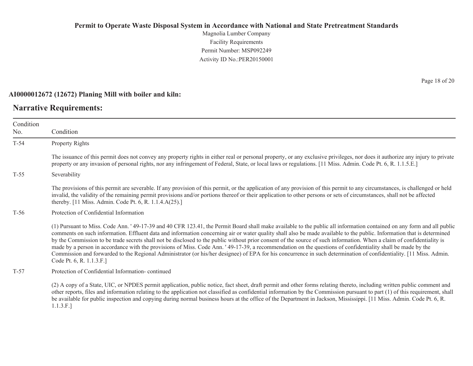Magnolia Lumber Company Facility Requirements Permit Number: MSP092249Activity ID No.:PER20150001

#### **AI0000012672 (12672) Planing Mill with boiler and kiln:**

## **Narrative Requirements:**

Condition No. ConditionT-54 Property Rights The issuance of this permit does not convey any property rights in either real or personal property, or any exclusive privileges, nor does it authorize any injury to private property or any invasion of personal rights, nor any infringement of Federal, State, or local laws or regulations. [11 Miss. Admin. Code Pt. 6, R. 1.1.5.E.] T-55 Severability The provisions of this permit are severable. If any provision of this permit, or the application of any provision of this permit to any circumstances, is challenged or held invalid, the validity of the remaining permit provisions and/or portions thereof or their application to other persons or sets of circumstances, shall not be affected thereby. [11 Miss. Admin. Code Pt. 6, R. 1.1.4.A(25).] T-56 Protection of Confidential Information (1) Pursuant to Miss. Code Ann. ' 49-17-39 and 40 CFR 123.41, the Permit Board shall make available to the public all information contained on any form and all public comments on such information. Effluent data and information concerning air or water quality shall also be made available to the public. Information that is determined by the Commission to be trade secrets shall not be disclosed to the public without prior consent of the source of such information. When a claim of confidentiality is made by a person in accordance with the provisions of Miss. Code Ann. ' 49-17-39, a recommendation on the questions of confidentiality shall be made by the Commission and forwarded to the Regional Administrator (or his/her designee) of EPA for his concurrence in such determination of confidentiality. [11 Miss. Admin. Code Pt. 6, R. 1.1.3.F.] T-57 Protection of Confidential Information- continued (2) A copy of a State, UIC, or NPDES permit application, public notice, fact sheet, draft permit and other forms relating thereto, including written public comment and

other reports, files and information relating to the application not classified as confidential information by the Commission pursuant to part (1) of this requirement, shall be available for public inspection and copying during normal business hours at the office of the Department in Jackson, Mississippi. [11 Miss. Admin. Code Pt. 6, R. 1.1.3.F.]

Page 18 of 20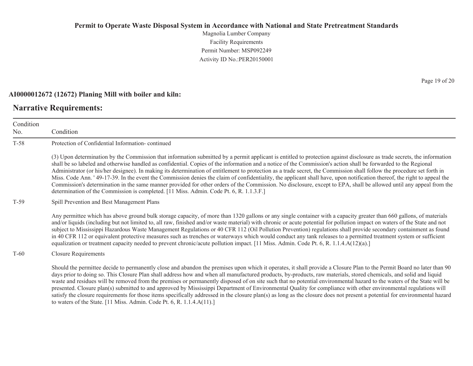Magnolia Lumber Company Facility Requirements Permit Number: MSP092249Activity ID No.:PER20150001

#### **AI0000012672 (12672) Planing Mill with boiler and kiln:**

to waters of the State. [11 Miss. Admin. Code Pt. 6, R. 1.1.4.A(11).]

## **Narrative Requirements:**

Condition No. ConditionT-58 Protection of Confidential Information- continued (3) Upon determination by the Commission that information submitted by a permit applicant is entitled to protection against disclosure as trade secrets, the information shall be so labeled and otherwise handled as confidential. Copies of the information and a notice of the Commission's action shall be forwarded to the Regional Administrator (or his/her designee). In making its determination of entitlement to protection as a trade secret, the Commission shall follow the procedure set forth in Miss. Code Ann. ' 49-17-39. In the event the Commission denies the claim of confidentiality, the applicant shall have, upon notification thereof, the right to appeal the Commission's determination in the same manner provided for other orders of the Commission. No disclosure, except to EPA, shall be allowed until any appeal from the determination of the Commission is completed. [11 Miss. Admin. Code Pt. 6, R. 1.1.3.F.] T-59 Spill Prevention and Best Management Plans Any permittee which has above ground bulk storage capacity, of more than 1320 gallons or any single container with a capacity greater than 660 gallons, of materials and/or liquids (including but not limited to, all raw, finished and/or waste material) with chronic or acute potential for pollution impact on waters of the State and not subject to Mississippi Hazardous Waste Management Regulations or 40 CFR 112 (Oil Pollution Prevention) regulations shall provide secondary containment as found in 40 CFR 112 or equivalent protective measures such as trenches or waterways which would conduct any tank releases to a permitted treatment system or sufficient equalization or treatment capacity needed to prevent chronic/acute pollution impact. [11 Miss. Admin. Code Pt. 6, R. 1.1.4.A(12)(a).] T-60 Closure Requirements Should the permittee decide to permanently close and abandon the premises upon which it operates, it shall provide a Closure Plan to the Permit Board no later than 90 days prior to doing so. This Closure Plan shall address how and when all manufactured products, by-products, raw materials, stored chemicals, and solid and liquid waste and residues will be removed from the premises or permanently disposed of on site such that no potential environmental hazard to the waters of the State will be presented. Closure plan(s) submitted to and approved by Mississippi Department of Environmental Quality for compliance with other environmental regulations will

satisfy the closure requirements for those items specifically addressed in the closure plan(s) as long as the closure does not present a potential for environmental hazard

Page 19 of 20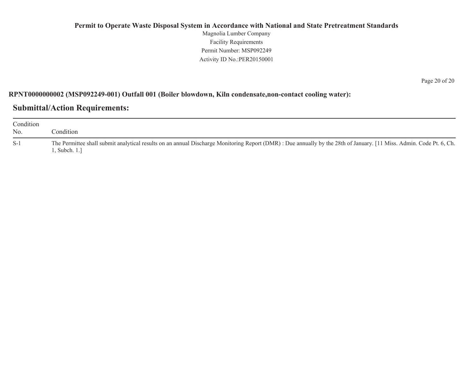## **Permit to Operate Waste Disposal System in Accordance with National and State Pretreatment Standards** Magnolia Lumber Company Facility Requirements Permit Number: MSP092249Activity ID No.:PER20150001

## **RPNT0000000002 (MSP092249-001) Outfall 001 (Boiler blowdown, Kiln condensate,non-contact cooling water):**

## **Submittal/Action Requirements:**

| Condition<br>No. | Condition :                                                                                                                                                                          |
|------------------|--------------------------------------------------------------------------------------------------------------------------------------------------------------------------------------|
| $S-1$            | The Permittee shall submit analytical results on an annual Discharge Monitoring Report (DMR) : Due annually by the 28th of January. [11 Miss. Admin. Code Pt. 6, Ch.<br>. Subch. 1.1 |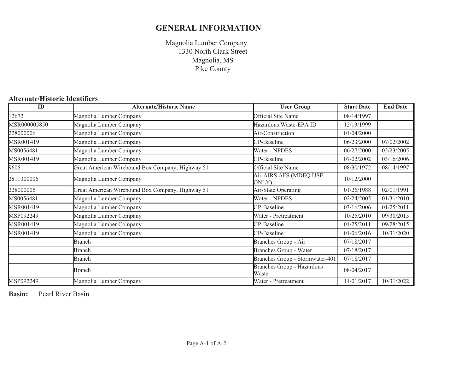## **GENERAL INFORMATION**

Magnolia Lumber Company Magnolia, MS Pike County 1330 North Clark Street

## **Alternate/Historic Identifiers**

| ID                                      | <b>Alternate/Historic Name</b>                   | <b>User Group</b>                   | <b>Start Date</b> | <b>End Date</b> |
|-----------------------------------------|--------------------------------------------------|-------------------------------------|-------------------|-----------------|
| 12672                                   | Magnolia Lumber Company                          | <b>Official Site Name</b>           | 08/14/1997        |                 |
| MSR000005850<br>Magnolia Lumber Company |                                                  | Hazardous Waste-EPA ID              | 12/13/1999        |                 |
| 228000006                               | Magnolia Lumber Company                          | Air-Construction                    | 01/04/2000        |                 |
| MSR001419                               | Magnolia Lumber Company                          | GP-Baseline                         | 06/23/2000        | 07/02/2002      |
| MS0056481                               | Magnolia Lumber Company                          | Water - NPDES                       | 06/27/2000        | 02/23/2005      |
| MSR001419                               | Magnolia Lumber Company                          | GP-Baseline                         | 07/02/2002        | 03/16/2006      |
| 9605                                    | Great American Wirebound Box Company, Highway 51 | <b>Official Site Name</b>           | 08/30/1972        | 08/14/1997      |
| 2811300006                              | Magnolia Lumber Company                          | Air-AIRS AFS (MDEQ USE<br>ONLY)     | 10/12/2000        |                 |
| 228000006                               | Great American Wirebound Box Company, Highway 51 | Air-State Operating                 | 01/26/1988        | 02/01/1991      |
| MS0056481                               | Magnolia Lumber Company                          | Water - NPDES                       | 02/24/2005        | 01/31/2010      |
| MSR001419                               | Magnolia Lumber Company                          | GP-Baseline                         | 03/16/2006        | 01/25/2011      |
| MSP092249                               | Magnolia Lumber Company                          | Water - Pretreatment                | 10/25/2010        | 09/30/2015      |
| MSR001419                               | Magnolia Lumber Company                          | GP-Baseline                         | 01/25/2011        | 09/28/2015      |
| MSR001419                               | Magnolia Lumber Company                          | GP-Baseline                         | 01/06/2016        | 10/31/2020      |
|                                         | Branch                                           | Branches Group - Air                | 07/18/2017        |                 |
|                                         | Branch                                           | Branches Group - Water              | 07/18/2017        |                 |
|                                         | Branch                                           | Branches Group - Stormwater-401     | 07/18/2017        |                 |
|                                         | <b>Branch</b>                                    | Branches Group - Hazardous<br>Waste | 08/04/2017        |                 |
| MSP092249                               | Magnolia Lumber Company                          | Water - Pretreatment                | 11/01/2017        | 10/31/2022      |

**Basin:**Pearl River Basin